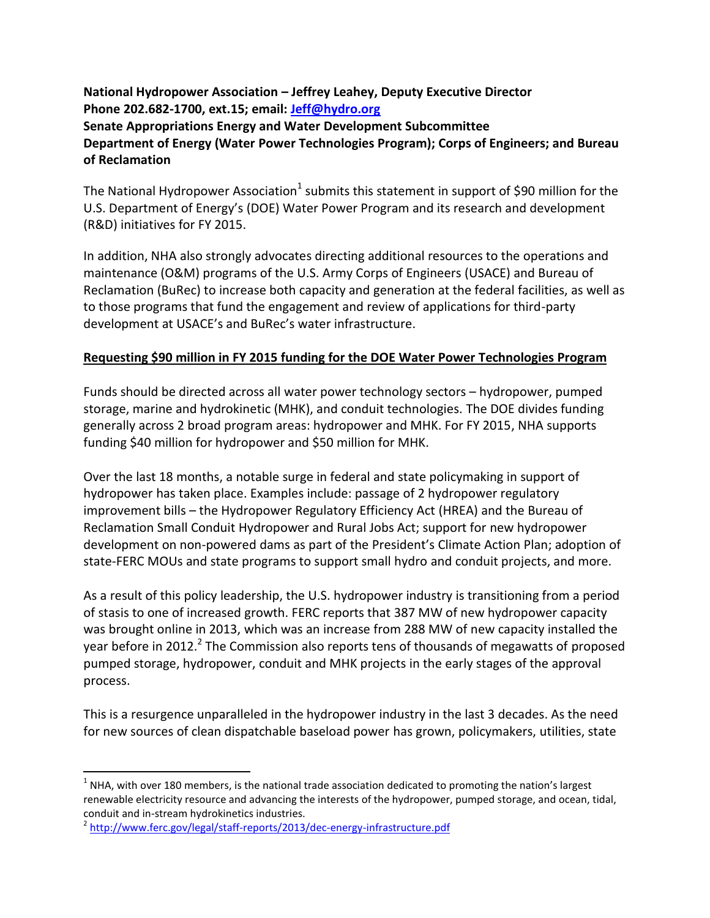**National Hydropower Association – Jeffrey Leahey, Deputy Executive Director Phone 202.682-1700, ext.15; email[: Jeff@hydro.org](mailto:Jeff@hydro.org) Senate Appropriations Energy and Water Development Subcommittee Department of Energy (Water Power Technologies Program); Corps of Engineers; and Bureau of Reclamation** 

The National Hydropower Association<sup>1</sup> submits this statement in support of \$90 million for the U.S. Department of Energy's (DOE) Water Power Program and its research and development (R&D) initiatives for FY 2015.

In addition, NHA also strongly advocates directing additional resources to the operations and maintenance (O&M) programs of the U.S. Army Corps of Engineers (USACE) and Bureau of Reclamation (BuRec) to increase both capacity and generation at the federal facilities, as well as to those programs that fund the engagement and review of applications for third-party development at USACE's and BuRec's water infrastructure.

### **Requesting \$90 million in FY 2015 funding for the DOE Water Power Technologies Program**

Funds should be directed across all water power technology sectors – hydropower, pumped storage, marine and hydrokinetic (MHK), and conduit technologies. The DOE divides funding generally across 2 broad program areas: hydropower and MHK. For FY 2015, NHA supports funding \$40 million for hydropower and \$50 million for MHK.

Over the last 18 months, a notable surge in federal and state policymaking in support of hydropower has taken place. Examples include: passage of 2 hydropower regulatory improvement bills – the Hydropower Regulatory Efficiency Act (HREA) and the Bureau of Reclamation Small Conduit Hydropower and Rural Jobs Act; support for new hydropower development on non-powered dams as part of the President's Climate Action Plan; adoption of state-FERC MOUs and state programs to support small hydro and conduit projects, and more.

As a result of this policy leadership, the U.S. hydropower industry is transitioning from a period of stasis to one of increased growth. FERC reports that 387 MW of new hydropower capacity was brought online in 2013, which was an increase from 288 MW of new capacity installed the year before in 2012.<sup>2</sup> The Commission also reports tens of thousands of megawatts of proposed pumped storage, hydropower, conduit and MHK projects in the early stages of the approval process.

This is a resurgence unparalleled in the hydropower industry in the last 3 decades. As the need for new sources of clean dispatchable baseload power has grown, policymakers, utilities, state

 $\overline{a}$ 

 $<sup>1</sup>$  NHA, with over 180 members, is the national trade association dedicated to promoting the nation's largest</sup> renewable electricity resource and advancing the interests of the hydropower, pumped storage, and ocean, tidal, conduit and in-stream hydrokinetics industries.

<sup>&</sup>lt;sup>2</sup> <http://www.ferc.gov/legal/staff-reports/2013/dec-energy-infrastructure.pdf>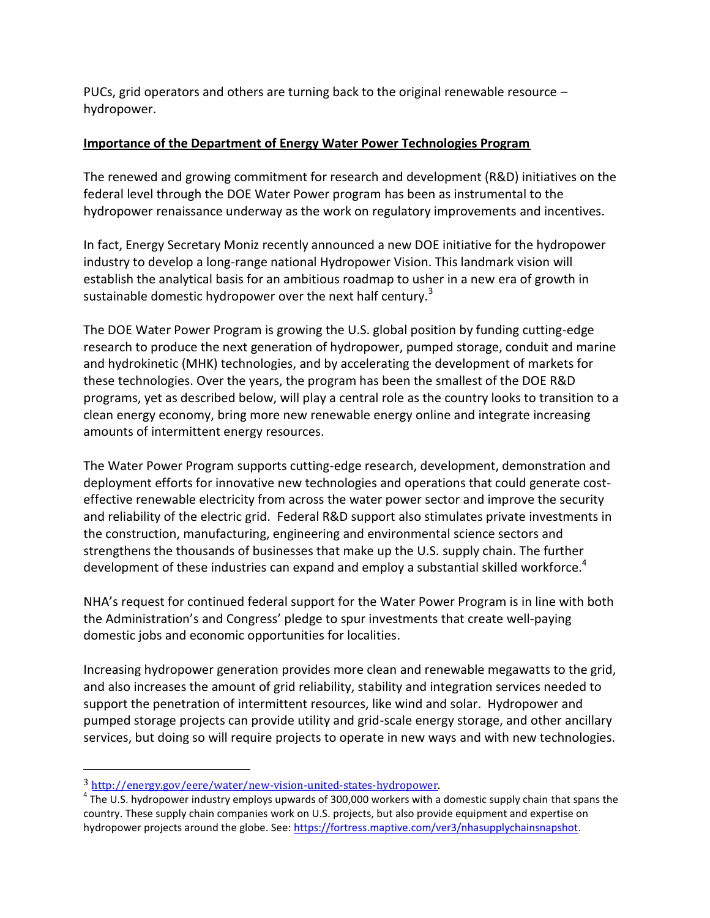PUCs, grid operators and others are turning back to the original renewable resource – hydropower.

#### **Importance of the Department of Energy Water Power Technologies Program**

The renewed and growing commitment for research and development (R&D) initiatives on the federal level through the DOE Water Power program has been as instrumental to the hydropower renaissance underway as the work on regulatory improvements and incentives.

In fact, Energy Secretary Moniz recently announced a new DOE initiative for the hydropower industry to develop a long-range national Hydropower Vision. This landmark vision will establish the analytical basis for an ambitious roadmap to usher in a new era of growth in sustainable domestic hydropower over the next half century. $3$ 

The DOE Water Power Program is growing the U.S. global position by funding cutting-edge research to produce the next generation of hydropower, pumped storage, conduit and marine and hydrokinetic (MHK) technologies, and by accelerating the development of markets for these technologies. Over the years, the program has been the smallest of the DOE R&D programs, yet as described below, will play a central role as the country looks to transition to a clean energy economy, bring more new renewable energy online and integrate increasing amounts of intermittent energy resources.

The Water Power Program supports cutting-edge research, development, demonstration and deployment efforts for innovative new technologies and operations that could generate costeffective renewable electricity from across the water power sector and improve the security and reliability of the electric grid. Federal R&D support also stimulates private investments in the construction, manufacturing, engineering and environmental science sectors and strengthens the thousands of businesses that make up the U.S. supply chain. The further development of these industries can expand and employ a substantial skilled workforce.<sup>4</sup>

NHA's request for continued federal support for the Water Power Program is in line with both the Administration's and Congress' pledge to spur investments that create well-paying domestic jobs and economic opportunities for localities.

Increasing hydropower generation provides more clean and renewable megawatts to the grid, and also increases the amount of grid reliability, stability and integration services needed to support the penetration of intermittent resources, like wind and solar. Hydropower and pumped storage projects can provide utility and grid-scale energy storage, and other ancillary services, but doing so will require projects to operate in new ways and with new technologies.

l

<sup>3</sup> [http://energy.gov/eere/water/new-vision-united-states-hydropower.](http://energy.gov/eere/water/new-vision-united-states-hydropower)

 $4$  The U.S. hydropower industry employs upwards of 300,000 workers with a domestic supply chain that spans the country. These supply chain companies work on U.S. projects, but also provide equipment and expertise on hydropower projects around the globe. See[: https://fortress.maptive.com/ver3/nhasupplychainsnapshot.](https://fortress.maptive.com/ver3/nhasupplychainsnapshot)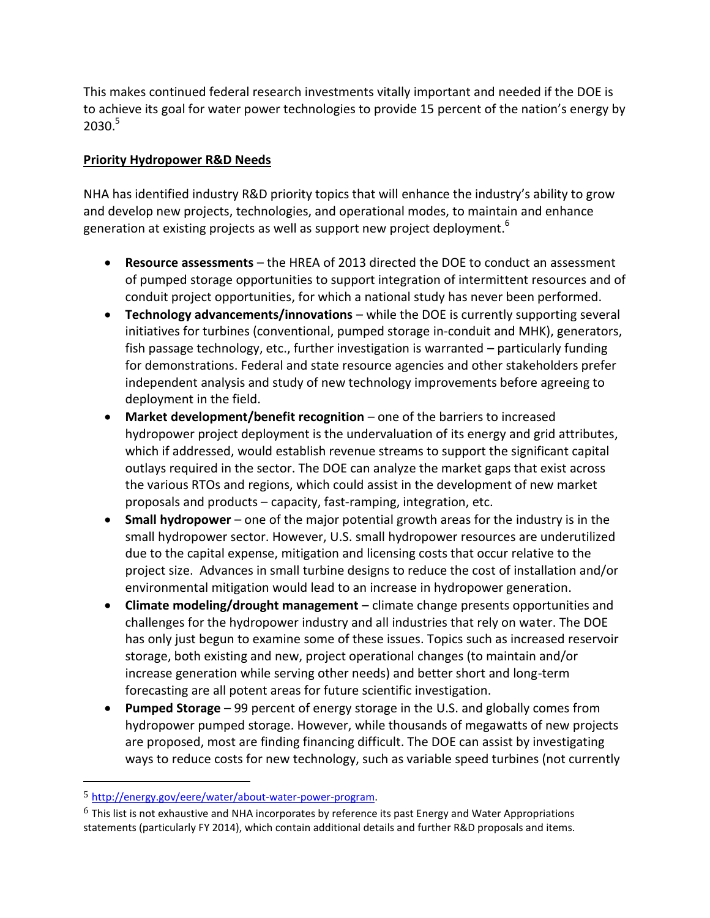This makes continued federal research investments vitally important and needed if the DOE is to achieve its goal for water power technologies to provide 15 percent of the nation's energy by  $2030.<sup>5</sup>$ 

### **Priority Hydropower R&D Needs**

NHA has identified industry R&D priority topics that will enhance the industry's ability to grow and develop new projects, technologies, and operational modes, to maintain and enhance generation at existing projects as well as support new project deployment.<sup>6</sup>

- **Resource assessments** the HREA of 2013 directed the DOE to conduct an assessment of pumped storage opportunities to support integration of intermittent resources and of conduit project opportunities, for which a national study has never been performed.
- **Technology advancements/innovations** while the DOE is currently supporting several initiatives for turbines (conventional, pumped storage in-conduit and MHK), generators, fish passage technology, etc., further investigation is warranted – particularly funding for demonstrations. Federal and state resource agencies and other stakeholders prefer independent analysis and study of new technology improvements before agreeing to deployment in the field.
- **Market development/benefit recognition** one of the barriers to increased hydropower project deployment is the undervaluation of its energy and grid attributes, which if addressed, would establish revenue streams to support the significant capital outlays required in the sector. The DOE can analyze the market gaps that exist across the various RTOs and regions, which could assist in the development of new market proposals and products – capacity, fast-ramping, integration, etc.
- **Small hydropower** one of the major potential growth areas for the industry is in the small hydropower sector. However, U.S. small hydropower resources are underutilized due to the capital expense, mitigation and licensing costs that occur relative to the project size. Advances in small turbine designs to reduce the cost of installation and/or environmental mitigation would lead to an increase in hydropower generation.
- **Climate modeling/drought management** climate change presents opportunities and challenges for the hydropower industry and all industries that rely on water. The DOE has only just begun to examine some of these issues. Topics such as increased reservoir storage, both existing and new, project operational changes (to maintain and/or increase generation while serving other needs) and better short and long-term forecasting are all potent areas for future scientific investigation.
- **Pumped Storage** 99 percent of energy storage in the U.S. and globally comes from hydropower pumped storage. However, while thousands of megawatts of new projects are proposed, most are finding financing difficult. The DOE can assist by investigating ways to reduce costs for new technology, such as variable speed turbines (not currently

 $\overline{\phantom{a}}$ 

<sup>5</sup> [http://energy.gov/eere/water/about-water-power-program.](http://energy.gov/eere/water/about-water-power-program)

 $6$  This list is not exhaustive and NHA incorporates by reference its past Energy and Water Appropriations statements (particularly FY 2014), which contain additional details and further R&D proposals and items.